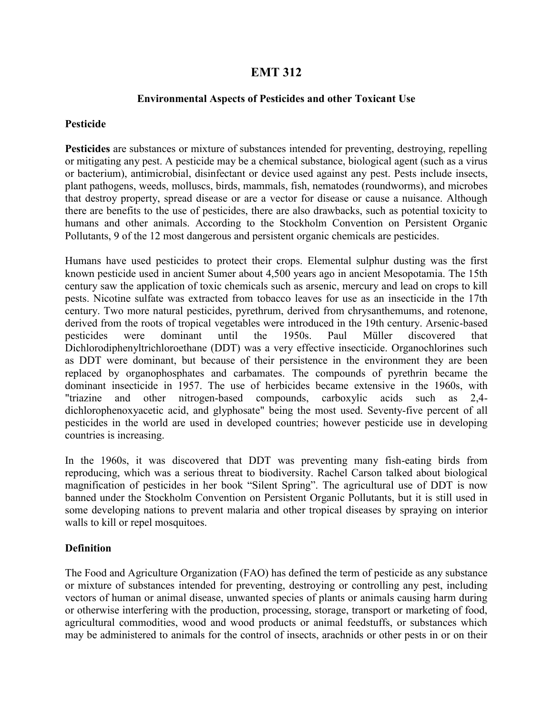# **EMT 312**

### **Environmental Aspects of Pesticides and other Toxicant Use**

#### **Pesticide**

**Pesticides** are substances or mixture of substances intended for preventing, destroying, repelling or mitigating any pest. A pesticide may be a [chemical](http://en.wikipedia.org/wiki/Chemical) substance, biological agent (such as a virus or bacterium), antimicrobial, disinfectant or device used against any [pest.](http://en.wikipedia.org/wiki/Pest_%28animal%29) Pests include [insects,](http://en.wikipedia.org/wiki/Insect) plant [pathogens,](http://en.wikipedia.org/wiki/Pathogen) weeds, [molluscs,](http://en.wikipedia.org/wiki/Mollusca) [birds,](http://en.wikipedia.org/wiki/Bird) [mammals,](http://en.wikipedia.org/wiki/Mammal) [fish,](http://en.wikipedia.org/wiki/Fish) nematodes [\(roundworms\)](http://en.wikipedia.org/wiki/Roundworm), and [microbes](http://en.wikipedia.org/wiki/Microbe) that destroy property, spread disease or are a [vector](http://en.wikipedia.org/wiki/Vector_%28epidemiology%29) for disease or cause a nuisance. Although there are benefits to the use of pesticides, there are also drawbacks, such as potential toxicity to humans and other animals. According to the [Stockholm Convention](http://en.wikipedia.org/wiki/Stockholm_Convention) on Persistent Organic Pollutants, 9 of the 12 most dangerous and persistent [organic chemicals](http://en.wikipedia.org/wiki/Organic_chemicals) are pesticides.

Humans have used pesticides to protect their crops. Elemental sulphur dusting was the first known pesticide used in ancient Sumer about 4,500 years ago in ancient Mesopotamia. The 15th century saw the application of toxic chemicals such as [arsenic,](http://en.wikipedia.org/wiki/Arsenic) [mercury](http://en.wikipedia.org/wiki/Mercury_%28element%29) and [lead](http://en.wikipedia.org/wiki/Lead) on crops to kill pests. [Nicotine](http://en.wikipedia.org/wiki/Nicotine) [sulfate](http://en.wikipedia.org/wiki/Sulfate) was extracted from [tobacco](http://en.wikipedia.org/wiki/Tobacco) leaves for use as an insecticide in the 17th century. Two more natural pesticides, [pyrethrum,](http://en.wikipedia.org/wiki/Pyrethrum) derived from [chrysanthemums,](http://en.wikipedia.org/wiki/Chrysanthemum) and [rotenone,](http://en.wikipedia.org/wiki/Rotenone) derived from the roots of tropical [vegetables](http://en.wikipedia.org/wiki/Vegetable) were introduced in the 19th century. Arsenic-based pesticides were dominant until the 1950s. [Paul Müller](http://en.wikipedia.org/wiki/Paul_Hermann_M%C3%BCller) discovered that [Dichlorodiphenyltrichloroethane \(DDT\)](http://en.wikipedia.org/wiki/DDT) was a very effective insecticide. Organochlorines such as DDT were dominant, but because of their persistence in the environment they are been replaced by organophosphates and carbamates. The compounds of pyrethrin became the dominant insecticide in 1957. The use of herbicides became extensive in the 1960s, with "triazine and other nitrogen-based compounds, carboxylic acids such as 2,4 dichlorophenoxyacetic acid, and glyphosate" being the most used. Seventy-five percent of all pesticides in the world are used in developed countries; however pesticide use in developing countries is increasing.

In the 1960s, it was discovered that DDT was preventing many fish-eating birds from reproducing, which was a serious threat to [biodiversity.](http://en.wikipedia.org/wiki/Biodiversity) [Rachel Carson](http://en.wikipedia.org/wiki/Rachel_Carson) talked about [biological](http://en.wikipedia.org/wiki/Biological_magnification)  [magnification](http://en.wikipedia.org/wiki/Biological_magnification) of pesticides in her book "[Silent Spring](http://en.wikipedia.org/wiki/Silent_Spring)". The agricultural use of DDT is now banned under the [Stockholm Convention](http://en.wikipedia.org/wiki/Stockholm_Convention) on Persistent Organic Pollutants, but it is still used in some developing nations to prevent [malaria](http://en.wikipedia.org/wiki/Malaria) and other tropical diseases by spraying on interior walls to kill or repel mosquitoes.

### **Definition**

The [Food and Agriculture Organization](http://en.wikipedia.org/wiki/Food_and_Agriculture_Organization) (FAO) has defined the term of pesticide as any substance or mixture of substances intended for preventing, destroying or controlling any pest, including vectors of human or animal disease, unwanted species of plants or animals causing harm during or otherwise interfering with the production, processing, storage, transport or marketing of food, agricultural commodities, wood and wood products or animal feedstuffs, or substances which may be administered to animals for the control of insects, arachnids or other pests in or on their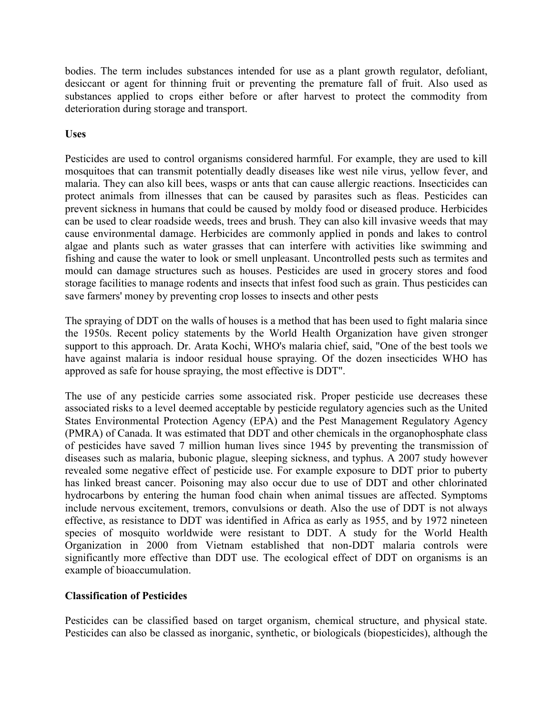bodies. The term includes substances intended for use as a plant growth regulator, defoliant, desiccant or agent for thinning fruit or preventing the premature fall of fruit. Also used as substances applied to crops either before or after harvest to protect the commodity from deterioration during storage and transport.

# **Uses**

Pesticides are used to control organisms considered harmful. For example, they are used to kill [mosquitoes](http://en.wikipedia.org/wiki/Mosquitoes) that can transmit potentially deadly diseases like [west nile virus,](http://en.wikipedia.org/wiki/West_nile_virus) [yellow fever,](http://en.wikipedia.org/wiki/Yellow_fever) and [malaria.](http://en.wikipedia.org/wiki/Malaria) They can also kill [bees,](http://en.wikipedia.org/wiki/Bee) [wasps](http://en.wikipedia.org/wiki/Wasp) or [ants](http://en.wikipedia.org/wiki/Ant) that can cause allergic reactions. Insecticides can protect animals from illnesses that can be caused by [parasites](http://en.wikipedia.org/wiki/Parasitism) such as [fleas.](http://en.wikipedia.org/wiki/Flea) Pesticides can prevent sickness in humans that could be caused by [moldy](http://en.wikipedia.org/wiki/Mold) food or diseased produce. Herbicides can be used to clear roadside weeds, trees and brush. They can also kill invasive [weeds](http://en.wikipedia.org/wiki/Weed) that may cause environmental damage. Herbicides are commonly applied in ponds and lakes to control [algae](http://en.wikipedia.org/wiki/Algae) and plants such as water grasses that can interfere with activities like swimming and fishing and cause the water to look or smell unpleasant. Uncontrolled pests such as termites and mould can damage structures such as houses. Pesticides are used in grocery stores and food storage facilities to manage [rodents](http://en.wikipedia.org/wiki/Rodents) and insects that infest food such as grain. Thus pesticides can save farmers' money by preventing crop losses to insects and other pests

The spraying of DDT on the walls of houses is a method that has been used to fight [malaria](http://en.wikipedia.org/wiki/Malaria) since the 1950s. Recent policy statements by the [World Health Organization](http://en.wikipedia.org/wiki/World_Health_Organization) have given stronger support to this approach. [Dr. Arata Kochi,](http://en.wikipedia.org/wiki/Dr._Arata_Kochi) WHO's malaria chief, said, "One of the best tools we have against malaria is indoor residual house spraying. Of the dozen insecticides WHO has approved as safe for house spraying, the most effective is DDT".

The use of any pesticide carries some associated risk. Proper pesticide use decreases these associated risks to a level deemed acceptable by pesticide regulatory agencies such as the [United](http://en.wikipedia.org/wiki/United_States_Environmental_Protection_Agency)  [States Environmental Protection Agency](http://en.wikipedia.org/wiki/United_States_Environmental_Protection_Agency) (EPA) and the Pest Management Regulatory Agency (PMRA) of Canada. It was estimated that DDT and other chemicals in the organophosphate class of pesticides have saved 7 million human lives since 1945 by preventing the transmission of diseases such as [malaria,](http://en.wikipedia.org/wiki/Malaria) [bubonic plague,](http://en.wikipedia.org/wiki/Bubonic_plague) [sleeping sickness,](http://en.wikipedia.org/wiki/African_trypanosomiasis) and [typhus.](http://en.wikipedia.org/wiki/Typhus) A 2007 study however revealed some negative effect of pesticide use. For example exposure to DDT prior to puberty has linked breast cancer. Poisoning may also occur due to use of DDT and other chlorinated hydrocarbons by entering the human food chain when animal tissues are affected. Symptoms include nervous excitement, tremors, convulsions or death. Also the use of DDT is not always effective, as [resistance to DDT](http://en.wikipedia.org/wiki/Pesticide_resistance) was identified in Africa as early as 1955, and by 1972 nineteen species of mosquito worldwide were resistant to DDT. A study for the [World Health](http://en.wikipedia.org/wiki/World_Health_Organization)  [Organization](http://en.wikipedia.org/wiki/World_Health_Organization) in 2000 from Vietnam established that non-DDT malaria controls were significantly more effective than DDT use. The ecological effect of DDT on organisms is an example of [bioaccumulation.](http://en.wikipedia.org/wiki/Bioaccumulation)

# **Classification of Pesticides**

Pesticides can be classified based on target [organism,](http://en.wikipedia.org/wiki/Organism) chemical structure, and physical state. Pesticides can also be classed as inorganic, synthetic, or [biologicals](http://en.wikipedia.org/wiki/Biological_pesticide) (biopesticides), although the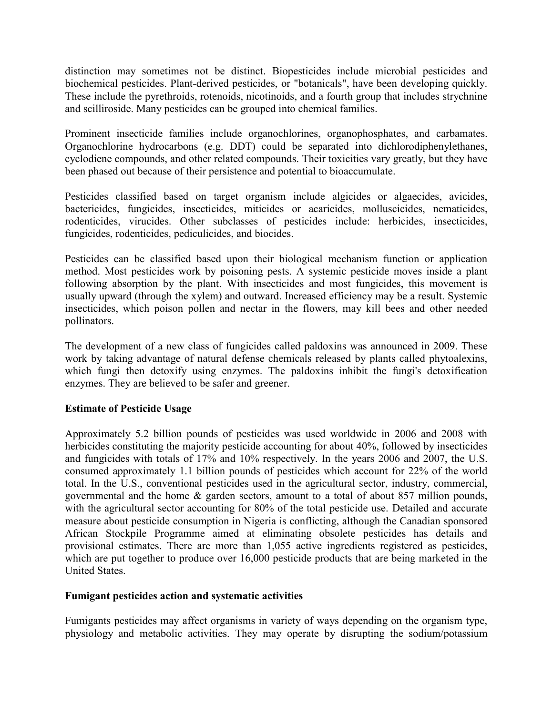distinction may sometimes not be distinct. [Biopesticides](http://en.wikipedia.org/wiki/Biopesticide) include microbial pesticides and biochemical pesticides. Plant-derived pesticides, or "botanicals", have been developing quickly. These include the [pyrethroids,](http://en.wikipedia.org/wiki/Pyrethrum) [rotenoids,](http://en.wikipedia.org/wiki/Rotenone) [nicotinoids,](http://en.wikipedia.org/wiki/Nicotine) and a fourth group that includes [strychnine](http://en.wikipedia.org/wiki/Strychnine) and [scilliroside.](http://en.wikipedia.org/wiki/Scilliroside) Many pesticides can be grouped into chemical families.

Prominent insecticide families include [organochlorines,](http://en.wikipedia.org/wiki/Organochlorine) [organophosphates,](http://en.wikipedia.org/wiki/Organophosphate) and [carbamates.](http://en.wikipedia.org/wiki/Carbamate) [Organochlorine](http://en.wikipedia.org/wiki/Organochlorine) hydrocarbons (e.g. [DDT\)](http://en.wikipedia.org/wiki/DDT) could be separated into dichlorodiphenylethanes, cyclodiene compounds, and other related compounds. Their toxicities vary greatly, but they have been phased out because of their persistence and potential to bioaccumulate.

Pesticides classified based on target organism include algicides or algaecides, avicides, bactericides, fungicides, insecticides, miticides or acaricides, molluscicides, nematicides, rodenticides, virucides. Other subclasses of pesticides include: [herbicides,](http://en.wikipedia.org/wiki/Herbicides) [insecticides,](http://en.wikipedia.org/wiki/Insecticides) [fungicides,](http://en.wikipedia.org/wiki/Fungicides) [rodenticides,](http://en.wikipedia.org/wiki/Rodenticides) [pediculicides,](http://en.wikipedia.org/wiki/Pediculicides) and [biocides.](http://en.wikipedia.org/wiki/Biocides)

Pesticides can be classified based upon their biological mechanism function or application method. Most pesticides work by [poisoning](http://en.wikipedia.org/wiki/Poison) pests. A systemic pesticide moves inside a plant following absorption by the plant. With insecticides and most fungicides, this movement is usually upward (through the [xylem\)](http://en.wikipedia.org/wiki/Xylem) and outward. Increased efficiency may be a result. Systemic insecticides, which poison [pollen](http://en.wikipedia.org/wiki/Pollen) and [nectar](http://en.wikipedia.org/wiki/Nectar) in the [flowers,](http://en.wikipedia.org/wiki/Flower) may kill [bees](http://en.wikipedia.org/wiki/Bees) and other needed [pollinators.](http://en.wikipedia.org/wiki/Pollinator)

The development of a new class of fungicides called paldoxins was announced in 2009. These work by taking advantage of natural defense chemicals released by plants called phytoalexins, which fungi then detoxify using enzymes. The paldoxins inhibit the fungi's detoxification enzymes. They are believed to be safer and greener.

# **Estimate of Pesticide Usage**

Approximately 5.2 billion pounds of pesticides was used worldwide in 2006 and 2008 with herbicides constituting the majority pesticide accounting for about 40%, followed by insecticides and fungicides with totals of 17% and 10% respectively. In the years 2006 and 2007, the U.S. consumed approximately 1.1 billion pounds of pesticides which account for 22% of the world total. In the U.S., conventional pesticides used in the agricultural sector, industry, commercial, governmental and the home & garden sectors, amount to a total of about 857 million pounds, with the agricultural sector accounting for 80% of the total pesticide use. Detailed and accurate measure about pesticide consumption in Nigeria is conflicting, although the Canadian sponsored African Stockpile Programme aimed at eliminating obsolete pesticides has details and provisional estimates. There are more than 1,055 active ingredients registered as pesticides, which are put together to produce over 16,000 pesticide products that are being marketed in the United States.

# **Fumigant pesticides action and systematic activities**

Fumigants pesticides may affect organisms in variety of ways depending on the organism type, physiology and metabolic activities. They may operate by disrupting the sodium/potassium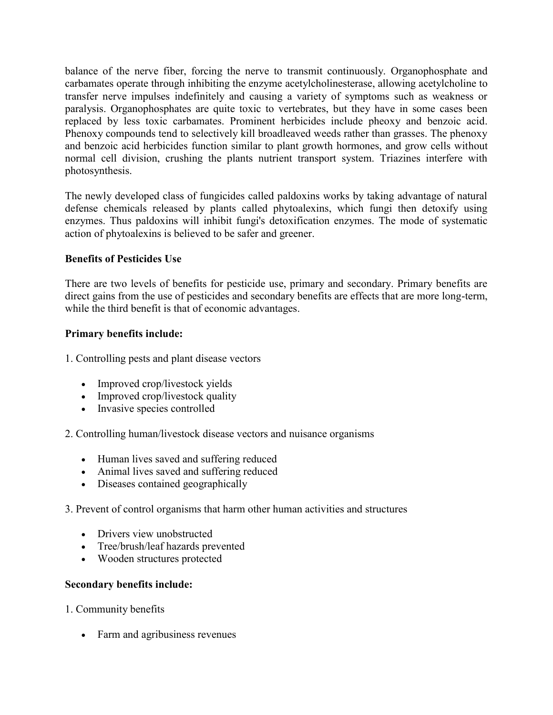balance of the nerve fiber, forcing the nerve to transmit continuously. [Organophosphate](http://en.wikipedia.org/wiki/Organophosphate) and [carbamates](http://en.wikipedia.org/wiki/Carbamate) operate through inhibiting the enzyme [acetylcholinesterase,](http://en.wikipedia.org/wiki/Acetylcholinesterase) allowing [acetylcholine](http://en.wikipedia.org/wiki/Acetylcholine) to transfer nerve impulses indefinitely and causing a variety of symptoms such as weakness or paralysis. Organophosphates are quite toxic to vertebrates, but they have in some cases been replaced by less toxic carbamates. Prominent herbicides include pheoxy and benzoic acid. Phenoxy compounds tend to selectively kill broadleaved weeds rather than grasses. The phenoxy and benzoic acid herbicides function similar to plant growth hormones, and grow cells without normal cell division, crushing the plants nutrient transport system. Triazines interfere with photosynthesis.

The newly developed class of fungicides called paldoxins works by taking advantage of natural defense chemicals released by plants called phytoalexins, which fungi then detoxify using enzymes. Thus paldoxins will inhibit fungi's detoxification enzymes. The mode of systematic action of phytoalexins is believed to be safer and greener.

# **Benefits of Pesticides Use**

There are two levels of benefits for pesticide use, primary and secondary. Primary benefits are direct gains from the use of pesticides and secondary benefits are effects that are more long-term, while the third benefit is that of economic advantages.

# **Primary benefits include:**

1. Controlling pests and plant disease vectors

- Improved crop/livestock yields
- Improved crop/livestock quality
- Invasive species controlled

2. Controlling human/livestock disease vectors and nuisance organisms

- Human lives saved and suffering reduced
- Animal lives saved and suffering reduced
- Diseases contained geographically

# 3. Prevent of control organisms that harm other human activities and structures

- Drivers view unobstructed
- Tree/brush/leaf hazards prevented
- Wooden structures protected

# **Secondary benefits include:**

- 1. Community benefits
	- Farm and agribusiness revenues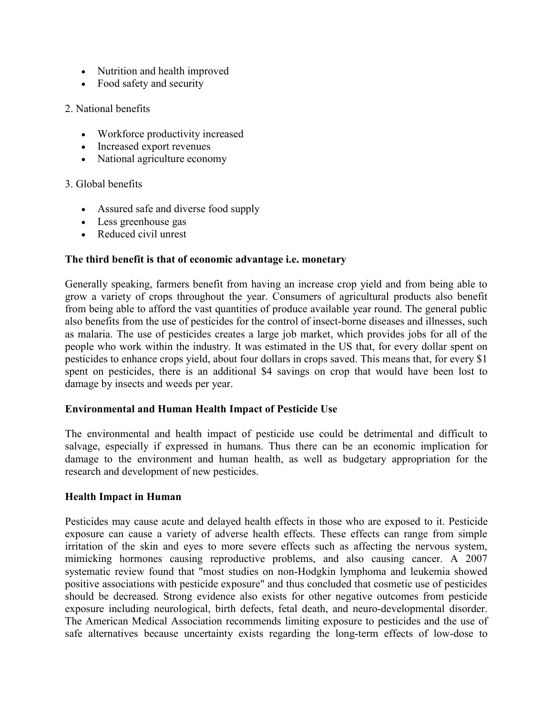- Nutrition and health improved
- Food safety and security
- 2. National benefits
	- Workforce productivity increased
	- Increased export revenues
	- National agriculture economy

## 3. Global benefits

- Assured safe and diverse food supply
- Less greenhouse gas
- Reduced civil unrest

## **The third benefit is that of economic advantage i.e. monetary**

Generally speaking, farmers benefit from having an increase crop yield and from being able to grow a variety of crops throughout the year. Consumers of agricultural products also benefit from being able to afford the vast quantities of produce available year round. The general public also benefits from the use of pesticides for the control of insect-borne diseases and illnesses, such as malaria. The use of pesticides creates a large job market, which provides jobs for all of the people who work within the industry. It was estimated in the US that, for every dollar spent on pesticides to enhance crops yield, about four dollars in crops saved. This means that, for every \$1 spent on pesticides, there is an additional \$4 savings on crop that would have been lost to damage by insects and weeds per year.

### **Environmental and Human Health Impact of Pesticide Use**

The environmental and health impact of pesticide use could be detrimental and difficult to salvage, especially if expressed in humans. Thus there can be an economic implication for damage to the environment and human health, as well as budgetary appropriation for the research and development of new pesticides.

### **Health Impact in Human**

Pesticides may cause acute and delayed health effects in those who are exposed to it. Pesticide exposure can cause a variety of adverse health effects. These effects can range from simple irritation of the skin and eyes to more severe effects such as affecting the nervous system, mimicking hormones causing reproductive problems, and also causing cancer. A 2007 [systematic review](http://en.wikipedia.org/wiki/Systematic_review) found that "most studies on non-Hodgkin lymphoma and leukemia showed positive associations with pesticide exposure" and thus concluded that cosmetic use of pesticides should be decreased. Strong evidence also exists for other negative outcomes from pesticide exposure including neurological, [birth defects,](http://en.wikipedia.org/wiki/Birth_defects) [fetal death,](http://en.wikipedia.org/wiki/Fetal_death) and [neuro-developmental disorder.](http://en.wikipedia.org/wiki/Neurodevelopmental_disorder) The [American Medical Association](http://en.wikipedia.org/wiki/American_Medical_Association) recommends limiting exposure to pesticides and the use of safe alternatives because uncertainty exists regarding the long-term effects of low-dose to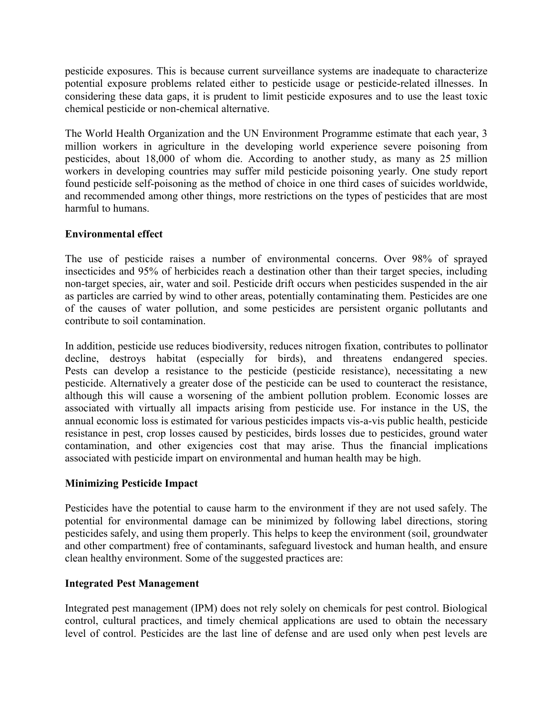pesticide exposures. This is because current surveillance systems are inadequate to characterize potential exposure problems related either to pesticide usage or pesticide-related illnesses. In considering these data gaps, it is prudent to limit pesticide exposures and to use the least toxic chemical pesticide or non-chemical alternative.

The World Health Organization and the [UN Environment Programme](http://en.wikipedia.org/wiki/UN_Environment_Programme) estimate that each year, 3 million workers in agriculture in the developing world experience severe [poisoning from](http://en.wikipedia.org/wiki/Pesticide_poisoning)  [pesticides,](http://en.wikipedia.org/wiki/Pesticide_poisoning) about 18,000 of whom die. According to another study, as many as 25 million workers in developing countries may suffer mild pesticide poisoning yearly. One study report found pesticide self-poisoning as the method of choice in one third cases of suicides worldwide, and recommended among other things, more restrictions on the types of pesticides that are most harmful to humans.

# **Environmental effect**

The use of pesticide raises a number of environmental concerns. Over 98% of sprayed insecticides and 95% of herbicides reach a destination other than their target species, including non-target species, air, water and soil. [Pesticide drift](http://en.wikipedia.org/wiki/Pesticide_drift) occurs when pesticides suspended in the air as particles are carried by wind to other areas, potentially contaminating them. Pesticides are one of the causes of [water pollution,](http://en.wikipedia.org/wiki/Water_pollution) and some pesticides are [persistent organic pollutants](http://en.wikipedia.org/wiki/Persistent_organic_pollutants) and contribute to [soil contamination.](http://en.wikipedia.org/wiki/Soil_contamination)

In addition, pesticide use reduces [biodiversity,](http://en.wikipedia.org/wiki/Biodiversity) reduces [nitrogen fixation,](http://en.wikipedia.org/wiki/Nitrogen_fixation) contributes to [pollinator](http://en.wikipedia.org/wiki/Pollinator_decline)  [decline,](http://en.wikipedia.org/wiki/Pollinator_decline) destroys habitat (especially for birds), and threatens [endangered species.](http://en.wikipedia.org/wiki/Endangered_species) Pests can develop a resistance to the pesticide [\(pesticide resistance\)](http://en.wikipedia.org/wiki/Pesticide_resistance), necessitating a new pesticide. Alternatively a greater dose of the pesticide can be used to counteract the resistance, although this will cause a worsening of the ambient pollution problem. Economic losses are associated with virtually all impacts arising from pesticide use. For instance in the US, the annual economic loss is estimated for various pesticides impacts vis-a-vis public health, pesticide resistance in pest, crop losses caused by pesticides, birds losses due to pesticides, ground water contamination, and other exigencies cost that may arise. Thus the financial implications associated with pesticide impart on environmental and human health may be high.

# **Minimizing Pesticide Impact**

Pesticides have the potential to cause harm to the environment if they are not used safely. The potential for environmental damage can be minimized by following label directions, storing pesticides safely, and using them properly. This helps to keep the environment (soil, groundwater and other compartment) free of contaminants, safeguard livestock and human health, and ensure clean healthy environment. Some of the suggested practices are:

# **Integrated Pest Management**

Integrated pest management (IPM) does not rely solely on chemicals for pest control. Biological control, cultural practices, and timely chemical applications are used to obtain the necessary level of control. Pesticides are the last line of defense and are used only when pest levels are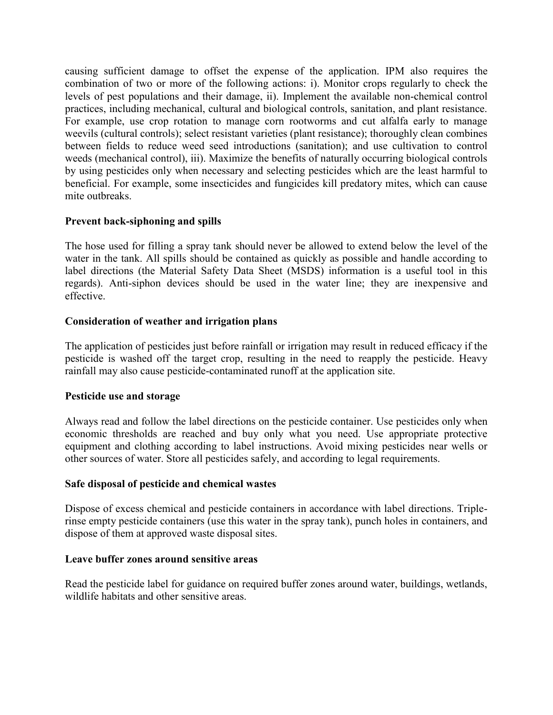causing sufficient damage to offset the expense of the application. IPM also requires the combination of two or more of the following actions: i). Monitor crops regularly to check the levels of pest populations and their damage, ii). Implement the available non-chemical control practices, including mechanical, cultural and biological controls, sanitation, and plant resistance. For example, use crop rotation to manage corn rootworms and cut alfalfa early to manage weevils (cultural controls); select resistant varieties (plant resistance); thoroughly clean combines between fields to reduce weed seed introductions (sanitation); and use cultivation to control weeds (mechanical control), iii). Maximize the benefits of naturally occurring biological controls by using pesticides only when necessary and selecting pesticides which are the least harmful to beneficial. For example, some insecticides and fungicides kill predatory mites, which can cause mite outbreaks.

## **Prevent back-siphoning and spills**

The hose used for filling a spray tank should never be allowed to extend below the level of the water in the tank. All spills should be contained as quickly as possible and handle according to label directions (the Material Safety Data Sheet (MSDS) information is a useful tool in this regards). Anti-siphon devices should be used in the water line; they are inexpensive and effective.

## **Consideration of weather and irrigation plans**

The application of pesticides just before rainfall or irrigation may result in reduced efficacy if the pesticide is washed off the target crop, resulting in the need to reapply the pesticide. Heavy rainfall may also cause pesticide-contaminated runoff at the application site.

### **Pesticide use and storage**

Always read and follow the label directions on the pesticide container. Use pesticides only when economic thresholds are reached and buy only what you need. Use appropriate protective equipment and clothing according to label instructions. Avoid mixing pesticides near wells or other sources of water. Store all pesticides safely, and according to legal requirements.

### **Safe disposal of pesticide and chemical wastes**

Dispose of excess chemical and pesticide containers in accordance with label directions. Triplerinse empty pesticide containers (use this water in the spray tank), punch holes in containers, and dispose of them at approved waste disposal sites.

### **Leave buffer zones around sensitive areas**

Read the pesticide label for guidance on required buffer zones around water, buildings, wetlands, wildlife habitats and other sensitive areas.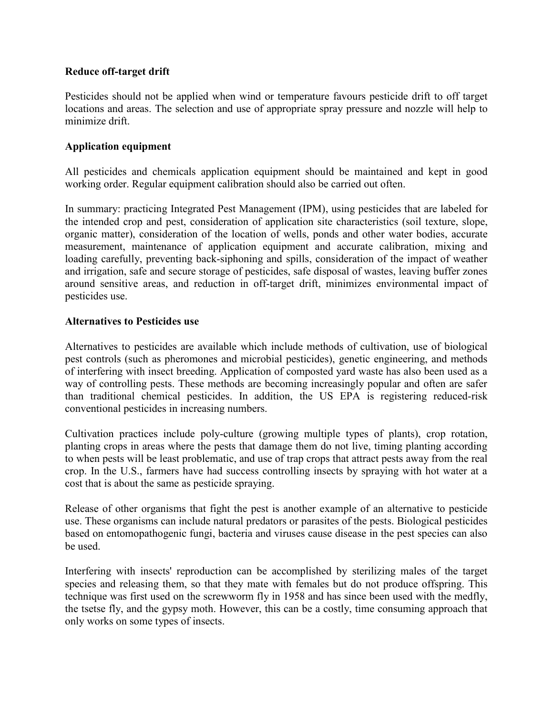### **Reduce off-target drift**

Pesticides should not be applied when wind or temperature favours pesticide drift to off target locations and areas. The selection and use of appropriate spray pressure and nozzle will help to minimize drift.

## **Application equipment**

All pesticides and chemicals application equipment should be maintained and kept in good working order. Regular equipment calibration should also be carried out often.

In summary: practicing Integrated Pest Management (IPM), using pesticides that are labeled for the intended crop and pest, consideration of application site characteristics (soil texture, slope, organic matter), consideration of the location of wells, ponds and other water bodies, accurate measurement, maintenance of application equipment and accurate calibration, mixing and loading carefully, preventing back-siphoning and spills, consideration of the impact of weather and irrigation, safe and secure storage of pesticides, safe disposal of wastes, leaving buffer zones around sensitive areas, and reduction in off-target drift, minimizes environmental impact of pesticides use.

## **Alternatives to Pesticides use**

Alternatives to pesticides are available which include methods of cultivation, use of [biological](http://en.wikipedia.org/wiki/Biological_pest_control)  [pest controls](http://en.wikipedia.org/wiki/Biological_pest_control) (such as pheromones and microbial pesticides), [genetic engineering,](http://en.wikipedia.org/wiki/Genetic_engineering) and methods of interfering with insect breeding. Application of composted yard waste has also been used as a way of controlling pests. These methods are becoming increasingly popular and often are safer than traditional chemical pesticides. In addition, the US EPA is registering reduced-risk conventional pesticides in increasing numbers.

Cultivation practices include [poly-culture](http://en.wikipedia.org/wiki/Polyculture) (growing multiple types of plants), [crop rotation,](http://en.wikipedia.org/wiki/Crop_rotation) planting crops in areas where the pests that damage them do not live, timing planting according to when pests will be least problematic, and use of [trap crops](http://en.wikipedia.org/wiki/Trap_crop) that attract pests away from the real crop. In the U.S., farmers have had success controlling insects by spraying with hot water at a cost that is about the same as pesticide spraying.

Release of other organisms that fight the pest is another example of an alternative to pesticide use. These organisms can include natural [predators](http://en.wikipedia.org/wiki/Predator) or [parasites](http://en.wikipedia.org/wiki/Parasite) of the pests. [Biological pesticides](http://en.wikipedia.org/wiki/Biological_pesticides) based on [entomopathogenic fungi,](http://en.wikipedia.org/wiki/Entomopathogenic_fungi) [bacteria](http://en.wikipedia.org/wiki/Bacteria) and [viruses](http://en.wikipedia.org/wiki/Virus) cause disease in the pest species can also be used.

Interfering with insects' reproduction can be accomplished by [sterilizing males](http://en.wikipedia.org/wiki/Sterile_insect_technique) of the target species and releasing them, so that they [mate](http://en.wikipedia.org/wiki/Mating) with females but do not produce offspring. This technique was first used on the [screwworm fly](http://en.wikipedia.org/wiki/Cochliomyia_hominivorax) in 1958 and has since been used with the [medfly,](http://en.wikipedia.org/wiki/Medfly) the [tsetse fly,](http://en.wikipedia.org/wiki/Tsetse_fly) and the [gypsy moth.](http://en.wikipedia.org/wiki/Gypsy_moth) However, this can be a costly, time consuming approach that only works on some types of insects.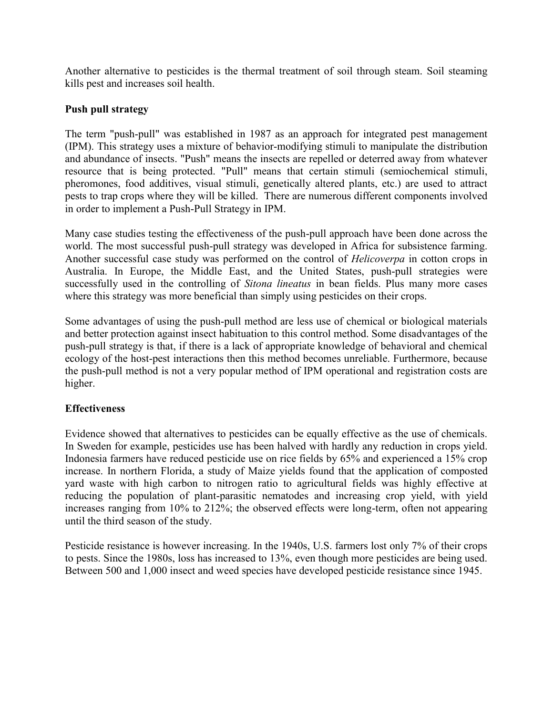Another alternative to pesticides is the thermal treatment of soil through steam. [Soil steaming](http://en.wikipedia.org/wiki/Soil_steam_sterilization) kills pest and increases soil health.

## **Push pull strategy**

The term "push-pull" was established in 1987 as an approach for [integrated pest management](http://en.wikipedia.org/wiki/Integrated_pest_management) (IPM). This strategy uses a mixture of behavior-modifying stimuli to manipulate the distribution and abundance of insects. "Push" means the insects are repelled or deterred away from whatever resource that is being protected. "Pull" means that certain stimuli (semiochemical stimuli, pheromones, food additives, visual stimuli, genetically altered plants, etc.) are used to attract pests to trap crops where they will be killed. There are numerous different components involved in order to implement a Push-Pull Strategy in IPM.

Many case studies testing the effectiveness of the push-pull approach have been done across the world. The most successful push-pull strategy was developed in Africa for subsistence farming. Another successful case study was performed on the control of *Helicoverpa* in cotton crops in Australia. In Europe, the Middle East, and the United States, push-pull strategies were successfully used in the controlling of *Sitona lineatus* in bean fields. Plus many more cases where this strategy was more beneficial than simply using pesticides on their crops.

Some advantages of using the push-pull method are less use of chemical or biological materials and better protection against insect habituation to this control method. Some disadvantages of the push-pull strategy is that, if there is a lack of appropriate knowledge of behavioral and chemical ecology of the host-pest interactions then this method becomes unreliable. Furthermore, because the push-pull method is not a very popular method of IPM operational and registration costs are higher.

# **Effectiveness**

Evidence showed that alternatives to pesticides can be equally effective as the use of chemicals. In [Sweden](http://en.wikipedia.org/wiki/Sweden) for example, pesticides use has been halved with hardly any reduction in crops yield. Indonesia farmers have reduced pesticide use on rice fields by 65% and experienced a 15% crop increase. In northern Florida, a study of [Maize](http://en.wikipedia.org/wiki/Maize) yields found that the application of composted yard waste with high [carbon to nitrogen ratio](http://en.wikipedia.org/wiki/Carbon_to_nitrogen_ratio) to agricultural fields was highly effective at reducing the population of plant-parasitic [nematodes](http://en.wikipedia.org/wiki/Nematodes) and increasing crop yield, with yield increases ranging from 10% to 212%; the observed effects were long-term, often not appearing until the third season of the study.

Pesticide resistance is however increasing. In the 1940s, U.S. farmers lost only 7% of their crops to pests. Since the 1980s, loss has increased to 13%, even though more pesticides are being used. Between 500 and 1,000 insect and weed species have developed pesticide resistance since 1945.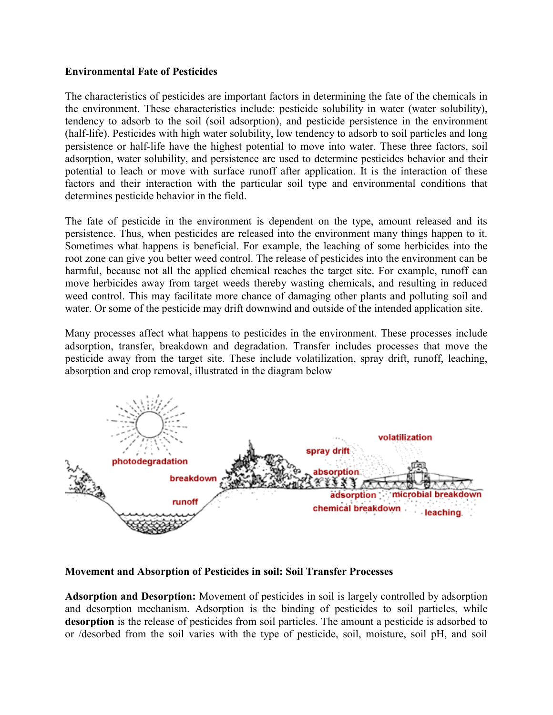## **Environmental Fate of Pesticides**

The characteristics of pesticides are important factors in determining the fate of the chemicals in the environment. These characteristics include: pesticide solubility in water (water solubility), tendency to adsorb to the soil (soil adsorption), and pesticide persistence in the environment (half-life). Pesticides with high water solubility, low tendency to adsorb to soil particles and long persistence or half-life have the highest potential to move into water. These three factors, soil adsorption, water solubility, and persistence are used to determine pesticides behavior and their potential to leach or move with surface runoff after application. It is the interaction of these factors and their interaction with the particular soil type and environmental conditions that determines pesticide behavior in the field.

The fate of pesticide in the environment is dependent on the type, amount released and its persistence. Thus, when pesticides are released into the environment many things happen to it. Sometimes what happens is beneficial. For example, the leaching of some herbicides into the root zone can give you better weed control. The release of pesticides into the environment can be harmful, because not all the applied chemical reaches the target site. For example, runoff can move herbicides away from target weeds thereby wasting chemicals, and resulting in reduced weed control. This may facilitate more chance of damaging other plants and polluting soil and water. Or some of the pesticide may drift downwind and outside of the intended application site.

Many processes affect what happens to pesticides in the environment. These processes include adsorption, transfer, breakdown and degradation. Transfer includes processes that move the pesticide away from the target site. These include volatilization, spray drift, runoff, leaching, absorption and crop removal, illustrated in the diagram below



**Movement and Absorption of Pesticides in soil: Soil Transfer Processes**

**Adsorption and Desorption:** Movement of pesticides in soil is largely controlled by adsorption and desorption mechanism. Adsorption is the binding of pesticides to soil particles, while **desorption** is the release of pesticides from soil particles. The amount a pesticide is adsorbed to or /desorbed from the soil varies with the type of pesticide, soil, moisture, soil pH, and soil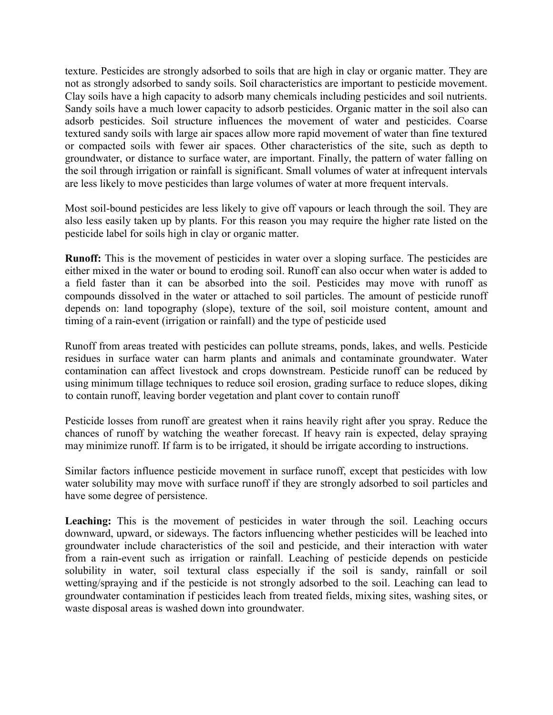texture. Pesticides are strongly adsorbed to soils that are high in clay or organic matter. They are not as strongly adsorbed to sandy soils. Soil characteristics are important to pesticide movement. Clay soils have a high capacity to adsorb many chemicals including pesticides and soil nutrients. Sandy soils have a much lower capacity to adsorb pesticides. Organic matter in the soil also can adsorb pesticides. Soil structure influences the movement of water and pesticides. Coarse textured sandy soils with large air spaces allow more rapid movement of water than fine textured or compacted soils with fewer air spaces. Other characteristics of the site, such as depth to groundwater, or distance to surface water, are important. Finally, the pattern of water falling on the soil through irrigation or rainfall is significant. Small volumes of water at infrequent intervals are less likely to move pesticides than large volumes of water at more frequent intervals.

Most soil-bound pesticides are less likely to give off vapours or leach through the soil. They are also less easily taken up by plants. For this reason you may require the higher rate listed on the pesticide label for soils high in clay or organic matter.

**Runoff:** This is the movement of pesticides in water over a sloping surface. The pesticides are either mixed in the water or bound to eroding soil. Runoff can also occur when water is added to a field faster than it can be absorbed into the soil. Pesticides may move with runoff as compounds dissolved in the water or attached to soil particles. The amount of pesticide runoff depends on: land topography (slope), texture of the soil, soil moisture content, amount and timing of a rain-event (irrigation or rainfall) and the type of pesticide used

Runoff from areas treated with pesticides can pollute streams, ponds, lakes, and wells. Pesticide residues in surface water can harm plants and animals and contaminate groundwater. Water contamination can affect livestock and crops downstream. Pesticide runoff can be reduced by using minimum tillage techniques to reduce soil erosion, grading surface to reduce slopes, diking to contain runoff, leaving border vegetation and plant cover to contain runoff

Pesticide losses from runoff are greatest when it rains heavily right after you spray. Reduce the chances of runoff by watching the weather forecast. If heavy rain is expected, delay spraying may minimize runoff. If farm is to be irrigated, it should be irrigate according to instructions.

Similar factors influence pesticide movement in surface runoff, except that pesticides with low water solubility may move with surface runoff if they are strongly adsorbed to soil particles and have some degree of persistence.

Leaching: This is the movement of pesticides in water through the soil. Leaching occurs downward, upward, or sideways. The factors influencing whether pesticides will be leached into groundwater include characteristics of the soil and pesticide, and their interaction with water from a rain-event such as irrigation or rainfall. Leaching of pesticide depends on pesticide solubility in water, soil textural class especially if the soil is sandy, rainfall or soil wetting/spraying and if the pesticide is not strongly adsorbed to the soil. Leaching can lead to groundwater contamination if pesticides leach from treated fields, mixing sites, washing sites, or waste disposal areas is washed down into groundwater.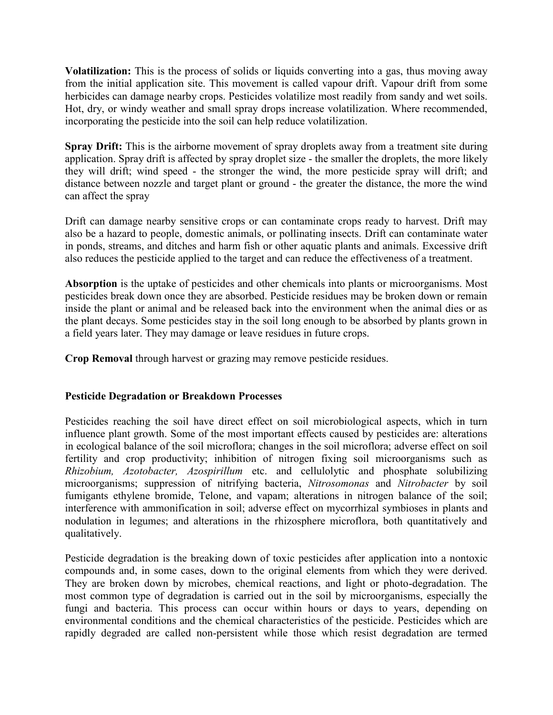**Volatilization:** This is the process of solids or liquids converting into a gas, thus moving away from the initial application site. This movement is called vapour drift. Vapour drift from some herbicides can damage nearby crops. Pesticides volatilize most readily from sandy and wet soils. Hot, dry, or windy weather and small spray drops increase volatilization. Where recommended, incorporating the pesticide into the soil can help reduce volatilization.

**Spray Drift:** This is the airborne movement of spray droplets away from a treatment site during application. Spray drift is affected by spray droplet size - the smaller the droplets, the more likely they will drift; wind speed - the stronger the wind, the more pesticide spray will drift; and distance between nozzle and target plant or ground - the greater the distance, the more the wind can affect the spray

Drift can damage nearby sensitive crops or can contaminate crops ready to harvest. Drift may also be a hazard to people, domestic animals, or pollinating insects. Drift can contaminate water in ponds, streams, and ditches and harm fish or other aquatic plants and animals. Excessive drift also reduces the pesticide applied to the target and can reduce the effectiveness of a treatment.

**Absorption** is the uptake of pesticides and other chemicals into plants or microorganisms. Most pesticides break down once they are absorbed. Pesticide residues may be broken down or remain inside the plant or animal and be released back into the environment when the animal dies or as the plant decays. Some pesticides stay in the soil long enough to be absorbed by plants grown in a field years later. They may damage or leave residues in future crops.

**Crop Removal** through harvest or grazing may remove pesticide residues.

# **Pesticide Degradation or Breakdown Processes**

Pesticides reaching the soil have direct effect on soil microbiological aspects, which in turn influence plant growth. Some of the most important effects caused by pesticides are: alterations in ecological balance of the soil microflora; changes in the soil microflora; adverse effect on soil fertility and crop productivity; inhibition of nitrogen fixing soil microorganisms such as *Rhizobium, Azotobacter, Azospirillum* etc. and cellulolytic and phosphate solubilizing microorganisms; suppression of nitrifying bacteria, *Nitrosomonas* and *Nitrobacter* by soil fumigants ethylene bromide, Telone, and vapam; alterations in nitrogen balance of the soil; interference with ammonification in soil; adverse effect on mycorrhizal symbioses in plants and nodulation in legumes; and alterations in the rhizosphere microflora, both quantitatively and qualitatively.

Pesticide degradation is the breaking down of toxic pesticides after application into a nontoxic compounds and, in some cases, down to the original elements from which they were derived. They are broken down by microbes, chemical reactions, and light or photo-degradation. The most common type of degradation is carried out in the soil by microorganisms, especially the fungi and bacteria. This process can occur within hours or days to years, depending on environmental conditions and the chemical characteristics of the pesticide. Pesticides which are rapidly degraded are called non-persistent while those which resist degradation are termed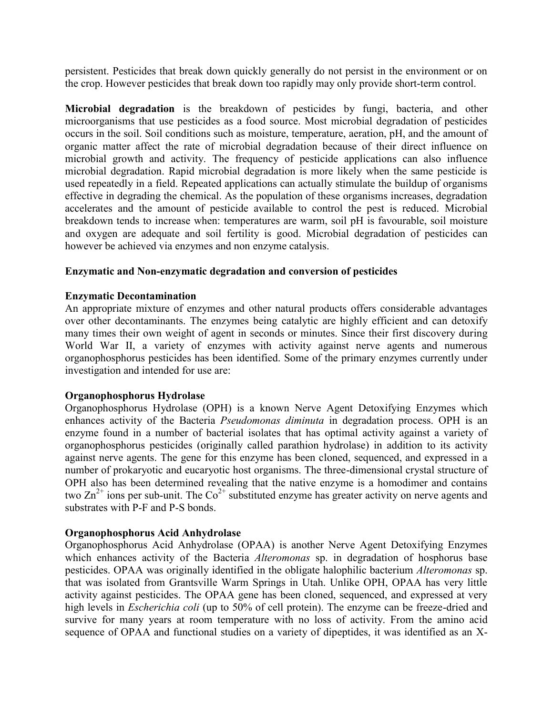persistent. Pesticides that break down quickly generally do not persist in the environment or on the crop. However pesticides that break down too rapidly may only provide short-term control.

**Microbial degradation** is the breakdown of pesticides by fungi, bacteria, and other microorganisms that use pesticides as a food source. Most microbial degradation of pesticides occurs in the soil. Soil conditions such as moisture, temperature, aeration, pH, and the amount of organic matter affect the rate of microbial degradation because of their direct influence on microbial growth and activity. The frequency of pesticide applications can also influence microbial degradation. Rapid microbial degradation is more likely when the same pesticide is used repeatedly in a field. Repeated applications can actually stimulate the buildup of organisms effective in degrading the chemical. As the population of these organisms increases, degradation accelerates and the amount of pesticide available to control the pest is reduced. Microbial breakdown tends to increase when: temperatures are warm, soil pH is favourable, soil moisture and oxygen are adequate and soil fertility is good. Microbial degradation of pesticides can however be achieved via enzymes and non enzyme catalysis.

## **Enzymatic and Non-enzymatic degradation and conversion of pesticides**

### **Enzymatic Decontamination**

An appropriate mixture of enzymes and other natural products offers considerable advantages over other decontaminants. The enzymes being catalytic are highly efficient and can detoxify many times their own weight of agent in seconds or minutes. Since their first discovery during World War II, a variety of enzymes with activity against nerve agents and numerous organophosphorus pesticides has been identified. Some of the primary enzymes currently under investigation and intended for use are:

### **Organophosphorus Hydrolase**

Organophosphorus Hydrolase (OPH) is a known Nerve Agent Detoxifying Enzymes which enhances activity of the Bacteria *Pseudomonas diminuta* in degradation process. OPH is an enzyme found in a number of bacterial isolates that has optimal activity against a variety of organophosphorus pesticides (originally called parathion hydrolase) in addition to its activity against nerve agents. The gene for this enzyme has been cloned, sequenced, and expressed in a number of prokaryotic and eucaryotic host organisms. The three-dimensional crystal structure of OPH also has been determined revealing that the native enzyme is a homodimer and contains two  $\text{Zn}^{2+}$  ions per sub-unit. The Co<sup>2+</sup> substituted enzyme has greater activity on nerve agents and substrates with P-F and P-S bonds.

### **Organophosphorus Acid Anhydrolase**

Organophosphorus Acid Anhydrolase (OPAA) is another Nerve Agent Detoxifying Enzymes which enhances activity of the Bacteria *Alteromonas* sp. in degradation of hosphorus base pesticides. OPAA was originally identified in the obligate halophilic bacterium *Alteromonas* sp. that was isolated from Grantsville Warm Springs in Utah. Unlike OPH, OPAA has very little activity against pesticides. The OPAA gene has been cloned, sequenced, and expressed at very high levels in *Escherichia coli* (up to 50% of cell protein). The enzyme can be freeze-dried and survive for many years at room temperature with no loss of activity. From the amino acid sequence of OPAA and functional studies on a variety of dipeptides, it was identified as an X-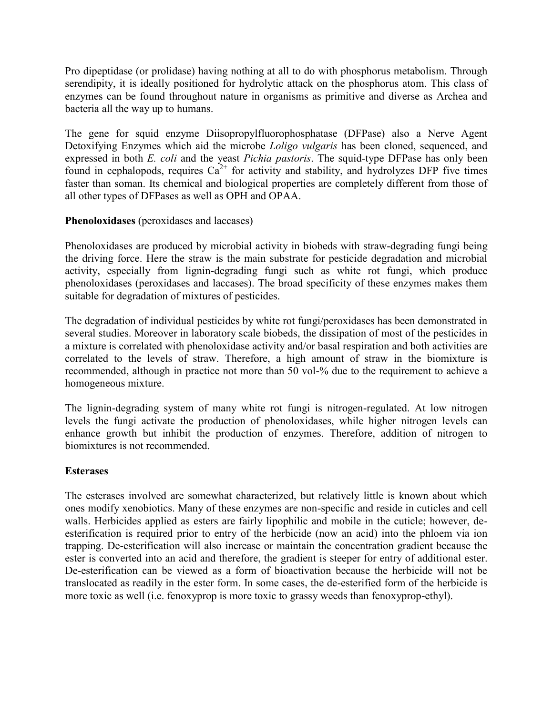Pro dipeptidase (or prolidase) having nothing at all to do with phosphorus metabolism. Through serendipity, it is ideally positioned for hydrolytic attack on the phosphorus atom. This class of enzymes can be found throughout nature in organisms as primitive and diverse as Archea and bacteria all the way up to humans.

The gene for squid enzyme Diisopropylfluorophosphatase (DFPase) also a Nerve Agent Detoxifying Enzymes which aid the microbe *Loligo vulgaris* has been cloned, sequenced, and expressed in both *E. coli* and the yeast *Pichia pastoris*. The squid-type DFPase has only been found in cephalopods, requires  $Ca^{2+}$  for activity and stability, and hydrolyzes DFP five times faster than soman. Its chemical and biological properties are completely different from those of all other types of DFPases as well as OPH and OPAA.

## **Phenoloxidases** (peroxidases and laccases)

Phenoloxidases are produced by microbial activity in biobeds with straw-degrading fungi being the driving force. Here the straw is the main substrate for pesticide degradation and microbial activity, especially from lignin-degrading fungi such as white rot fungi, which produce phenoloxidases (peroxidases and laccases). The broad specificity of these enzymes makes them suitable for degradation of mixtures of pesticides.

The degradation of individual pesticides by white rot fungi/peroxidases has been demonstrated in several studies. Moreover in laboratory scale biobeds, the dissipation of most of the pesticides in a mixture is correlated with phenoloxidase activity and/or basal respiration and both activities are correlated to the levels of straw. Therefore, a high amount of straw in the biomixture is recommended, although in practice not more than 50 vol-% due to the requirement to achieve a homogeneous mixture.

The lignin-degrading system of many white rot fungi is nitrogen-regulated. At low nitrogen levels the fungi activate the production of phenoloxidases, while higher nitrogen levels can enhance growth but inhibit the production of enzymes. Therefore, addition of nitrogen to biomixtures is not recommended.

### **Esterases**

The esterases involved are somewhat characterized, but relatively little is known about which ones modify xenobiotics. Many of these enzymes are non-specific and reside in cuticles and cell walls. Herbicides applied as esters are fairly lipophilic and mobile in the cuticle; however, deesterification is required prior to entry of the [herbicide](javascript:void(0);) (now an acid) into the phloem via ion trapping. De-esterification will also increase or maintain the concentration gradient because the ester is converted into an acid and therefore, the gradient is steeper for entry of additional ester. De-esterification can be viewed as a form of bioactivation because the herbicide will not be translocated as readily in the ester form. In some cases, the de-esterified form of the herbicide is more toxic as well (i.e. fenoxyprop is more toxic to grassy weeds than fenoxyprop-ethyl).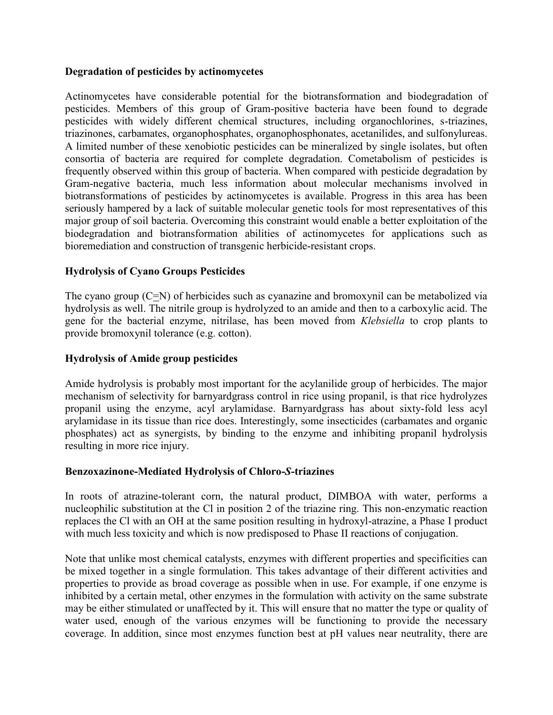### **Degradation of pesticides by actinomycetes**

Actinomycetes have considerable potential for the biotransformation and biodegradation of pesticides. Members of this group of Gram-positive bacteria have been found to degrade pesticides with widely different chemical structures, including organochlorines, s-triazines, triazinones, carbamates, organophosphates, organophosphonates, acetanilides, and sulfonylureas. A limited number of these xenobiotic pesticides can be mineralized by single isolates, but often consortia of bacteria are required for complete degradation. Cometabolism of pesticides is frequently observed within this group of bacteria. When compared with pesticide degradation by Gram-negative bacteria, much less information about molecular mechanisms involved in biotransformations of pesticides by actinomycetes is available. Progress in this area has been seriously hampered by a lack of suitable molecular genetic tools for most representatives of this major group of soil bacteria. Overcoming this constraint would enable a better exploitation of the biodegradation and biotransformation abilities of actinomycetes for applications such as bioremediation and construction of transgenic herbicide-resistant crops.

# **Hydrolysis of Cyano Groups Pesticides**

The cyano group (C=N) of herbicides such as cyanazine and bromoxynil can be metabolized via hydrolysis as well. The nitrile group is hydrolyzed to an amide and then to a carboxylic acid. The gene for the bacterial enzyme, nitrilase, has been moved from *Klebsiella* to crop plants to provide bromoxynil tolerance (e.g. cotton).

## **Hydrolysis of Amide group pesticides**

Amide hydrolysis is probably most important for the acylanilide group of herbicides. The major mechanism of [selectivity](javascript:void(0);) for barnyardgrass control in rice using propanil, is that rice hydrolyzes propanil using the enzyme, acyl arylamidase. Barnyardgrass has about sixty-fold less acyl arylamidase in its tissue than rice does. Interestingly, some insecticides (carbamates and organic phosphates) act as synergists, by binding to the enzyme and inhibiting propanil hydrolysis resulting in more rice injury.

### **Benzoxazinone-Mediated Hydrolysis of Chloro-***S***-triazines**

In roots of atrazine-tolerant corn, the natural product, DIMBOA with water, performs a nucleophilic substitution at the Cl in position 2 of the triazine ring. This non-enzymatic reaction replaces the Cl with an OH at the same position resulting in hydroxyl-atrazine, a Phase I product with much less toxicity and which is now predisposed to Phase II reactions of [conjugation.](javascript:void(0);)

Note that unlike most chemical catalysts, enzymes with different properties and specificities can be mixed together in a single formulation. This takes advantage of their different activities and properties to provide as broad coverage as possible when in use. For example, if one enzyme is inhibited by a certain metal, other enzymes in the formulation with activity on the same substrate may be either stimulated or unaffected by it. This will ensure that no matter the type or quality of water used, enough of the various enzymes will be functioning to provide the necessary coverage. In addition, since most enzymes function best at pH values near neutrality, there are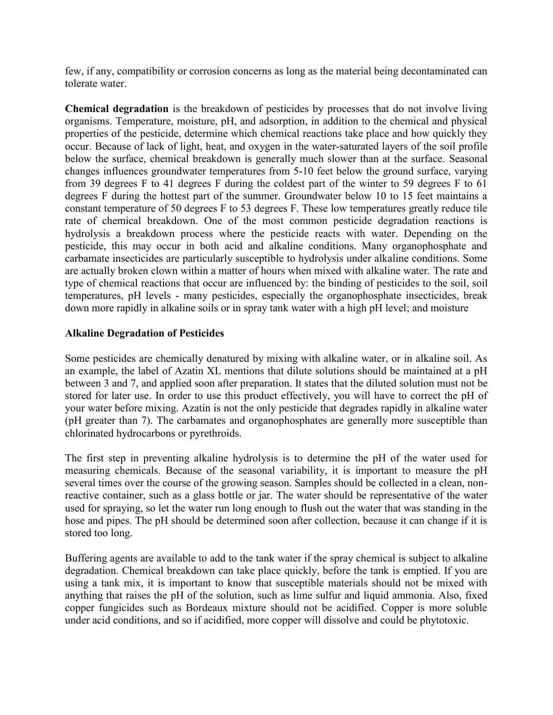few, if any, compatibility or corrosion concerns as long as the material being decontaminated can tolerate water.

**Chemical degradation** is the breakdown of pesticides by processes that do not involve living organisms. Temperature, moisture, pH, and adsorption, in addition to the chemical and physical properties of the pesticide, determine which chemical reactions take place and how quickly they occur. Because of lack of light, heat, and oxygen in the water-saturated layers of the soil profile below the surface, chemical breakdown is generally much slower than at the surface. Seasonal changes influences groundwater temperatures from 5-10 feet below the ground surface, varying from 39 degrees F to 41 degrees F during the coldest part of the winter to 59 degrees F to 61 degrees F during the hottest part of the summer. Groundwater below 10 to 15 feet maintains a constant temperature of 50 degrees F to 53 degrees F. These low temperatures greatly reduce tile rate of chemical breakdown. One of the most common pesticide degradation reactions is hydrolysis a breakdown process where the pesticide reacts with water. Depending on the pesticide, this may occur in both acid and alkaline conditions. Many organophosphate and carbamate insecticides are particularly susceptible to hydrolysis under alkaline conditions. Some are actually broken clown within a matter of hours when mixed with alkaline water. The rate and type of chemical reactions that occur are influenced by: the binding of pesticides to the soil, soil temperatures, pH levels - many pesticides, especially the organophosphate insecticides, break down more rapidly in alkaline soils or in spray tank water with a high pH level; and moisture

# **Alkaline Degradation of Pesticides**

Some pesticides are chemically denatured by mixing with alkaline water, or in alkaline soil. As an example, the label of Azatin XL mentions that dilute solutions should be maintained at a pH between 3 and 7, and applied soon after preparation. It states that the diluted solution must not be stored for later use. In order to use this product effectively, you will have to correct the pH of your water before mixing. Azatin is not the only pesticide that degrades rapidly in alkaline water (pH greater than 7). The carbamates and organophosphates are generally more susceptible than chlorinated hydrocarbons or pyrethroids.

The first step in preventing alkaline hydrolysis is to determine the pH of the water used for measuring chemicals. Because of the seasonal variability, it is important to measure the pH several times over the course of the growing season. Samples should be collected in a clean, nonreactive container, such as a glass bottle or jar. The water should be representative of the water used for spraying, so let the water run long enough to flush out the water that was standing in the hose and pipes. The pH should be determined soon after collection, because it can change if it is stored too long.

Buffering agents are available to add to the tank water if the spray chemical is subject to alkaline degradation. Chemical breakdown can take place quickly, before the tank is emptied. If you are using a tank mix, it is important to know that susceptible materials should not be mixed with anything that raises the pH of the solution, such as lime sulfur and liquid ammonia. Also, fixed copper fungicides such as Bordeaux mixture should not be acidified. Copper is more soluble under acid conditions, and so if acidified, more copper will dissolve and could be phytotoxic.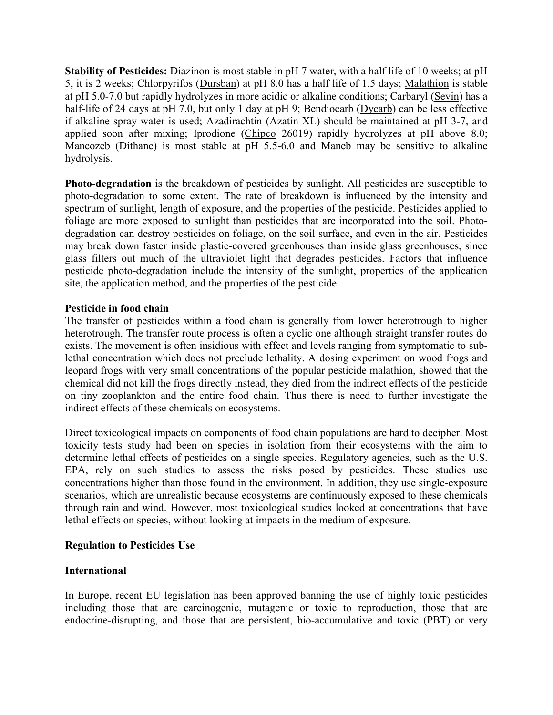**Stability of Pesticides:** Diazinon is most stable in pH 7 water, with a half life of 10 weeks; at pH 5, it is 2 weeks; Chlorpyrifos (Dursban) at pH 8.0 has a half life of 1.5 days; Malathion is stable at pH 5.0-7.0 but rapidly hydrolyzes in more acidic or alkaline conditions; Carbaryl (Sevin) has a half-life of 24 days at pH 7.0, but only 1 day at pH 9; Bendiocarb (Dycarb) can be less effective if alkaline spray water is used; Azadirachtin (Azatin XL) should be maintained at pH 3-7, and applied soon after mixing; Iprodione (Chipco 26019) rapidly hydrolyzes at pH above 8.0; Mancozeb (Dithane) is most stable at pH 5.5-6.0 and Maneb may be sensitive to alkaline hydrolysis.

**Photo-degradation** is the breakdown of pesticides by sunlight. All pesticides are susceptible to photo-degradation to some extent. The rate of breakdown is influenced by the intensity and spectrum of sunlight, length of exposure, and the properties of the pesticide. Pesticides applied to foliage are more exposed to sunlight than pesticides that are incorporated into the soil. Photodegradation can destroy pesticides on foliage, on the soil surface, and even in the air. Pesticides may break down faster inside plastic-covered greenhouses than inside glass greenhouses, since glass filters out much of the ultraviolet light that degrades pesticides. Factors that influence pesticide photo-degradation include the intensity of the sunlight, properties of the application site, the application method, and the properties of the pesticide.

## **Pesticide in food chain**

The transfer of pesticides within a food chain is generally from lower heterotrough to higher heterotrough. The transfer route process is often a cyclic one although straight transfer routes do exists. The movement is often insidious with effect and levels ranging from symptomatic to sublethal concentration which does not preclude lethality. A dosing experiment on wood frogs and leopard frogs with very small concentrations of the popular pesticide malathion, showed that the chemical did not kill the frogs directly instead, they died from the indirect effects of the pesticide on tiny zooplankton and the entire food chain. Thus there is need to further investigate the indirect effects of these chemicals on ecosystems.

Direct toxicological impacts on components of food chain populations are hard to decipher. Most toxicity tests study had been on species in isolation from their ecosystems with the aim to determine lethal effects of pesticides on a single species. Regulatory agencies, such as the U.S. EPA, rely on such studies to assess the risks posed by pesticides. These studies use concentrations higher than those found in the environment. In addition, they use single-exposure scenarios, which are unrealistic because ecosystems are continuously exposed to these chemicals through rain and wind. However, most toxicological studies looked at concentrations that have lethal effects on species, without looking at impacts in the medium of exposure.

### **Regulation to Pesticides Use**

# **International**

In Europe, recent EU legislation has been approved banning the use of highly toxic pesticides including those that are [carcinogenic,](http://en.wikipedia.org/wiki/Carcinogenic) [mutagenic](http://en.wikipedia.org/wiki/Mutagenic) or toxic to reproduction, those that are endocrine-disrupting, and those that are persistent, [bio-accumulative](http://en.wikipedia.org/wiki/Bioaccumulative) and toxic (PBT) or very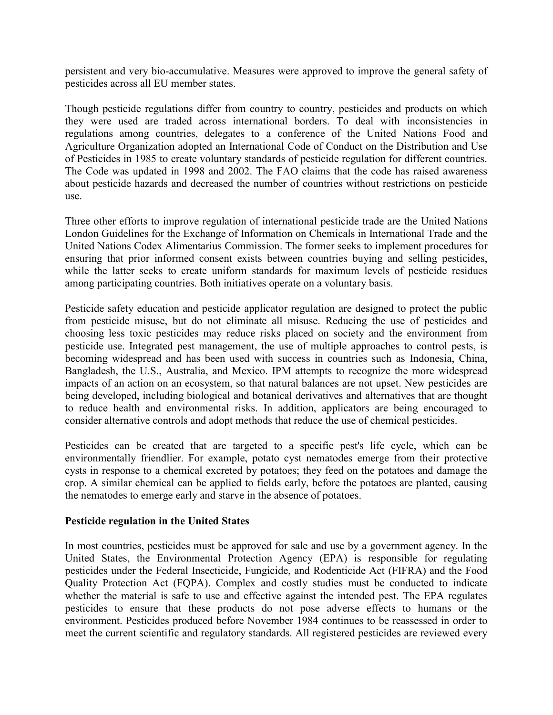persistent and very bio-accumulative. Measures were approved to improve the general safety of pesticides across all EU member states.

Though pesticide regulations differ from country to country, pesticides and products on which they were used are traded across international borders. To deal with inconsistencies in regulations among countries, delegates to a conference of the United Nations [Food and](http://en.wikipedia.org/wiki/Food_and_Agriculture_Organization)  [Agriculture Organization](http://en.wikipedia.org/wiki/Food_and_Agriculture_Organization) adopted an International Code of Conduct on the Distribution and Use of Pesticides in 1985 to create voluntary standards of pesticide regulation for different countries. The Code was updated in 1998 and 2002. The FAO claims that the code has raised awareness about pesticide hazards and decreased the number of countries without restrictions on pesticide use.

Three other efforts to improve regulation of international pesticide trade are the [United Nations](http://en.wikipedia.org/w/index.php?title=United_Nations_London_Guidelines_for_the_Exchange_of_Information_on_Chemicals_in_International_Trade&action=edit&redlink=1)  [London Guidelines for the Exchange of Information on Chemicals in International Trade](http://en.wikipedia.org/w/index.php?title=United_Nations_London_Guidelines_for_the_Exchange_of_Information_on_Chemicals_in_International_Trade&action=edit&redlink=1) and the [United Nations Codex Alimentarius Commission.](http://en.wikipedia.org/wiki/Codex_Alimentarius) The former seeks to implement procedures for ensuring that prior informed consent exists between countries buying and selling pesticides, while the latter seeks to create uniform standards for maximum levels of pesticide residues among participating countries. Both initiatives operate on a voluntary basis.

Pesticide safety education and pesticide applicator regulation are designed to protect the public from [pesticide misuse,](http://en.wikipedia.org/wiki/Pesticide_misuse) but do not eliminate all misuse. Reducing the use of pesticides and choosing less toxic pesticides may reduce risks placed on society and the environment from pesticide use. [Integrated pest management,](http://en.wikipedia.org/wiki/Integrated_pest_management) the use of multiple approaches to control pests, is becoming widespread and has been used with success in countries such as [Indonesia,](http://en.wikipedia.org/wiki/Indonesia) [China,](http://en.wikipedia.org/wiki/China) [Bangladesh,](http://en.wikipedia.org/wiki/Bangladesh) the U.S., [Australia,](http://en.wikipedia.org/wiki/Australia) and [Mexico.](http://en.wikipedia.org/wiki/Mexico) IPM attempts to recognize the more widespread impacts of an action on an [ecosystem,](http://en.wikipedia.org/wiki/Ecosystem) so that natural balances are not upset. New pesticides are being developed, including biological and botanical derivatives and alternatives that are thought to reduce health and environmental risks. In addition, applicators are being encouraged to consider alternative controls and adopt methods that reduce the use of chemical pesticides.

Pesticides can be created that are targeted to a specific pest's life cycle, which can be environmentally friendlier. For example, [potato cyst nematodes](http://en.wikipedia.org/wiki/Potato_cyst_nematode) emerge from their protective cysts in response to a chemical excreted by potatoes; they feed on the potatoes and damage the crop. A similar chemical can be applied to fields early, before the potatoes are planted, causing the [nematodes](http://en.wikipedia.org/wiki/Nematode) to emerge early and starve in the absence of potatoes.

### **[Pesticide regulation in the United States](http://en.wikipedia.org/wiki/Pesticide_regulation_in_the_United_States)**

In most countries, pesticides must be approved for sale and use by a government agency. In the [United States,](http://en.wikipedia.org/wiki/United_States) the [Environmental Protection Agency](http://en.wikipedia.org/wiki/United_States_Environmental_Protection_Agency) (EPA) is responsible for regulating pesticides under the [Federal Insecticide, Fungicide, and Rodenticide Act](http://en.wikipedia.org/wiki/Federal_Insecticide,_Fungicide,_and_Rodenticide_Act) (FIFRA) and the [Food](http://en.wikipedia.org/wiki/Food_Quality_Protection_Act)  [Quality Protection Act](http://en.wikipedia.org/wiki/Food_Quality_Protection_Act) (FQPA). Complex and costly studies must be conducted to indicate whether the material is safe to use and effective against the intended pest. The EPA regulates pesticides to ensure that these products do not pose adverse effects to humans or the environment. Pesticides produced before November 1984 continues to be reassessed in order to meet the current scientific and regulatory standards. All registered pesticides are reviewed every